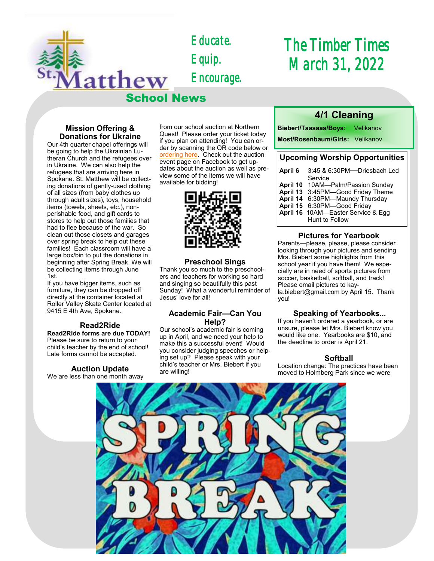*Educate. Equip. Encourage.* 

School News

# *The Timber Times March 31, 2022*

#### **Mission Offering & Donations for Ukraine**

latthew

Our 4th quarter chapel offerings will be going to help the Ukrainian Lutheran Church and the refugees over in Ukraine. We can also help the refugees that are arriving here in Spokane. St. Matthew will be collecting donations of gently-used clothing of all sizes (from baby clothes up through adult sizes), toys, household items (towels, sheets, etc.), nonperishable food, and gift cards to stores to help out those families that had to flee because of the war. So clean out those closets and garages over spring break to help out these families! Each classroom will have a large box/bin to put the donations in beginning after Spring Break. We will be collecting items through June 1st.

If you have bigger items, such as furniture, they can be dropped off directly at the container located at Roller Valley Skate Center located at 9415 E 4th Ave, Spokane.

#### **Read2Ride**

**Read2Ride forms are due TODAY!**  Please be sure to return to your child's teacher by the end of school! Late forms cannot be accepted.

#### **Auction Update**

We are less than one month away

from our school auction at Northern Quest! Please order your ticket today if you plan on attending! You can order by scanning the QR code below or [ordering here.](https://school.stmatthewspokane.org/auction-2022.html) Check out the auction event page on Facebook to get updates about the auction as well as preview some of the items we will have available for bidding!



#### **Preschool Sings**

Thank you so much to the preschoolers and teachers for working so hard and singing so beautifully this past Sunday! What a wonderful reminder of Jesus' love for all!

#### **Academic Fair—Can You Help?**

Our school's academic fair is coming up in April, and we need your help to make this a successful event! Would you consider judging speeches or helping set up? Please speak with your child's teacher or Mrs. Biebert if you are willing!

# **4/1 Cleaning**

**Biebert/Taasaas/Boys:** Velikanov

**Most/Rosenbaum/Girls:** Velikanov

# **Upcoming Worship Opportunities**

| April 6 | 3:45 & 6:30PM---Driesbach Led      |
|---------|------------------------------------|
|         | Service                            |
|         | April 10 10AM-Palm/Passion Sunday  |
|         | April 13 3:45PM-Good Friday Theme  |
|         | April 14 6:30PM-Maundy Thursday    |
|         | April 15 6:30PM-Good Friday        |
|         | April 16 10AM-Easter Service & Egg |
|         | Hunt to Follow                     |

#### **Pictures for Yearbook**

Parents—please, please, please consider looking through your pictures and sending Mrs. Biebert some highlights from this school year if you have them! We especially are in need of sports pictures from soccer, basketball, softball, and track! Please email pictures to kayla.biebert@gmail.com by April 15. Thank you!

#### **Speaking of Yearbooks...**

If you haven't ordered a yearbook, or are unsure, please let Mrs. Biebert know you would like one. Yearbooks are \$10, and the deadline to order is April 21.

#### **Softball**

Location change: The practices have been moved to Holmberg Park since we were

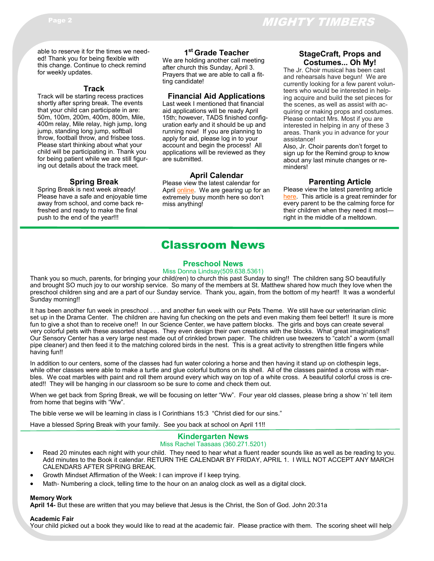able to reserve it for the times we needed! Thank you for being flexible with this change. Continue to check remind for weekly updates.

#### **Track**

Track will be starting recess practices shortly after spring break. The events that your child can participate in are: 50m, 100m, 200m, 400m, 800m, Mile, 400m relay, Mile relay, high jump, long jump, standing long jump, softball throw, football throw, and frisbee toss. Please start thinking about what your child will be participating in. Thank you for being patient while we are still figuring out details about the track meet.

## **Spring Break**

Spring Break is next week already! Please have a safe and enjoyable time away from school, and come back refreshed and ready to make the final push to the end of the year!!!

# **1 st Grade Teacher**

We are holding another call meeting after church this Sunday, April 3. Prayers that we are able to call a fitting candidate!

#### **Financial Aid Applications**

Last week I mentioned that financial aid applications will be ready April 15th; however, TADS finished configuration early and it should be up and running now! If you are planning to apply for aid, please log in to your account and begin the process! All applications will be reviewed as they are submitted.

#### **April Calendar**

Please view the latest calendar for April [online.](https://school.stmatthewspokane.org/calendars.html) We are gearing up for an extremely busy month here so don't miss anything!

#### **StageCraft, Props and Costumes... Oh My!**

The Jr. Choir musical has been cast and rehearsals have begun! We are currently looking for a few parent volunteers who would be interested in helping acquire and build the set pieces for the scenes, as well as assist with acquiring or making props and costumes. Please contact Mrs. Most if you are interested in helping in any of these 3 areas. Thank you in advance for your assistance!

Also, Jr. Choir parents don't forget to sign up for the Remind group to know about any last minute changes or reminders!

#### **Parenting Article**

Please view the latest parenting article [here.](forwardinchrist.net/how-can-i-stay-calm/) This article is a great reminder for every parent to be the calming force for their children when they need it most right in the middle of a meltdown.

# Classroom News

#### **Preschool News**

#### Miss Donna Lindsay(509.638.5361)

Thank you so much, parents, for bringing your child(ren) to church this past Sunday to sing!! The children sang SO beautifully and brought SO much joy to our worship service. So many of the members at St. Matthew shared how much they love when the preschool children sing and are a part of our Sunday service. Thank you, again, from the bottom of my heart!! It was a wonderful Sunday morning!!

It has been another fun week in preschool . . . and another fun week with our Pets Theme. We still have our veterinarian clinic set up in the Drama Center. The children are having fun checking on the pets and even making them feel better!! It sure is more fun to give a shot than to receive one!! In our Science Center, we have pattern blocks. The girls and boys can create several very colorful pets with these assorted shapes. They even design their own creations with the blocks. What great imaginations!! Our Sensory Center has a very large nest made out of crinkled brown paper. The children use tweezers to "catch" a worm (small pipe cleaner) and then feed it to the matching colored birds in the nest. This is a great activity to strengthen little fingers while having fun!!

In addition to our centers, some of the classes had fun water coloring a horse and then having it stand up on clothespin legs, while other classes were able to make a turtle and glue colorful buttons on its shell. All of the classes painted a cross with marbles. We coat marbles with paint and roll them around every which way on top of a white cross. A beautiful colorful cross is created!! They will be hanging in our classroom so be sure to come and check them out.

When we get back from Spring Break, we will be focusing on letter "Ww". Four year old classes, please bring a show 'n' tell item from home that begins with "Ww".

The bible verse we will be learning in class is I Corinthians 15:3 "Christ died for our sins."

Have a blessed Spring Break with your family. See you back at school on April 11!!

#### **Kindergarten News**

#### Miss Rachel Taasaas (360.271.5201)

- Read 20 minutes each night with your child. They need to hear what a fluent reader sounds like as well as be reading to you. Add minutes to the Book it calendar. RETURN THE CALENDAR BY FRIDAY, APRIL 1. I WILL NOT ACCEPT ANY MARCH CALENDARS AFTER SPRING BREAK.
- Growth Mindset Affirmation of the Week: I can improve if I keep trying.
- Math- Numbering a clock, telling time to the hour on an analog clock as well as a digital clock.

#### **Memory Work**

**April 14-** But these are written that you may believe that Jesus is the Christ, the Son of God. John 20:31a

#### **Academic Fair**

Your child picked out a book they would like to read at the academic fair. Please practice with them. The scoring sheet will help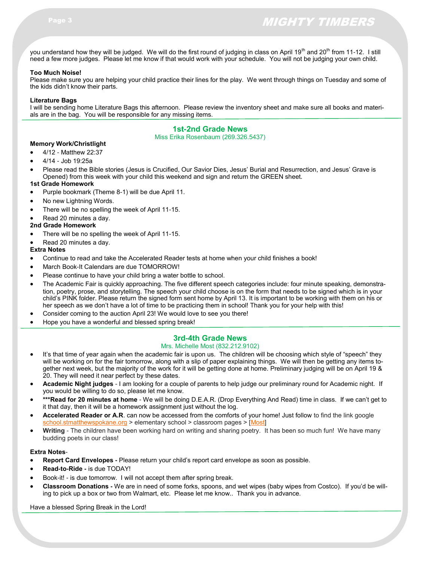you understand how they will be judged. We will do the first round of judging in class on April 19<sup>th</sup> and 20<sup>th</sup> from 11-12. I still need a few more judges. Please let me know if that would work with your schedule. You will not be judging your own child.

#### **Too Much Noise!**

Please make sure you are helping your child practice their lines for the play. We went through things on Tuesday and some of the kids didn't know their parts.

#### **Literature Bags**

I will be sending home Literature Bags this afternoon. Please review the inventory sheet and make sure all books and materials are in the bag. You will be responsible for any missing items.

#### **1st-2nd Grade News**

#### Miss Erika Rosenbaum (269.326.5437)

## **Memory Work/Christlight**

- 4/12 Matthew 22:37
- 4/14 Job 19:25a
- Please read the Bible stories (Jesus is Crucified, Our Savior Dies, Jesus' Burial and Resurrection, and Jesus' Grave is Opened) from this week with your child this weekend and sign and return the GREEN sheet.

#### **1st Grade Homework**

- Purple bookmark (Theme 8-1) will be due April 11.
- No new Lightning Words.
- There will be no spelling the week of April 11-15.
- Read 20 minutes a day.

#### **2nd Grade Homework**

- There will be no spelling the week of April 11-15.
- Read 20 minutes a day.

#### **Extra Notes**

- Continue to read and take the Accelerated Reader tests at home when your child finishes a book!
- March Book-It Calendars are due TOMORROW!
- Please continue to have your child bring a water bottle to school.
- The Academic Fair is quickly approaching. The five different speech categories include: four minute speaking, demonstration, poetry, prose, and storytelling. The speech your child choose is on the form that needs to be signed which is in your child's PINK folder. Please return the signed form sent home by April 13. It is important to be working with them on his or her speech as we don't have a lot of time to be practicing them in school! Thank you for your help with this!
- Consider coming to the auction April 23! We would love to see you there!
- Hope you have a wonderful and blessed spring break!

## **3rd-4th Grade News**

#### Mrs. Michelle Most (832.212.9102)

- It's that time of year again when the academic fair is upon us. The children will be choosing which style of "speech" they will be working on for the fair tomorrow, along with a slip of paper explaining things. We will then be getting any items together next week, but the majority of the work for it will be getting done at home. Preliminary judging will be on April 19 & 20. They will need it near perfect by these dates.
- **Academic Night judges** I am looking for a couple of parents to help judge our preliminary round for Academic night. If you would be willing to do so, please let me know.
- **\*\*\*Read for 20 minutes at home** We will be doing D.E.A.R. (Drop Everything And Read) time in class. If we can't get to it that day, then it will be a homework assignment just without the log.
- **Accelerated Reader or A.R**. can now be accessed from the comforts of your home! Just follow to find the link google [school.stmatthewspokane.org](http://school.stmatthewspokane.org/) > elementary school > classroom pages > [[Most\]](https://global-zone05.renaissance-go.com/welcomeportal/299566)
- **Writing** The children have been working hard on writing and sharing poetry. It has been so much fun! We have many budding poets in our class!

#### **Extra Notes**-

- **Report Card Envelopes -** Please return your child's report card envelope as soon as possible.
- **Read-to-Ride -** is due TODAY!
- Book-it! is due tomorrow. I will not accept them after spring break.
- **Classroom Donations -** We are in need of some forks, spoons, and wet wipes (baby wipes from Costco). If you'd be willing to pick up a box or two from Walmart, etc. Please let me know.. Thank you in advance.

Have a blessed Spring Break in the Lord!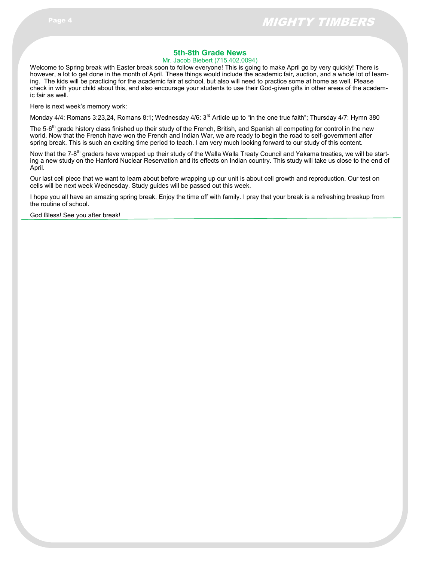## **5th-8th Grade News**

Mr. Jacob Biebert (715.402.0094)

Welcome to Spring break with Easter break soon to follow everyone! This is going to make April go by very quickly! There is however, a lot to get done in the month of April. These things would include the academic fair, auction, and a whole lot of learning. The kids will be practicing for the academic fair at school, but also will need to practice some at home as well. Please check in with your child about this, and also encourage your students to use their God-given gifts in other areas of the academic fair as well.

Here is next week's memory work:

Monday 4/4: Romans 3:23,24, Romans 8:1; Wednesday 4/6: 3<sup>rd</sup> Article up to "in the one true faith"; Thursday 4/7: Hymn 380

The 5-6<sup>th</sup> grade history class finished up their study of the French, British, and Spanish all competing for control in the new world. Now that the French have won the French and Indian War, we are ready to begin the road to self-government after spring break. This is such an exciting time period to teach. I am very much looking forward to our study of this content.

Now that the 7-8<sup>th</sup> graders have wrapped up their study of the Walla Walla Treaty Council and Yakama treaties, we will be starting a new study on the Hanford Nuclear Reservation and its effects on Indian country. This study will take us close to the end of April.

Our last cell piece that we want to learn about before wrapping up our unit is about cell growth and reproduction. Our test on cells will be next week Wednesday. Study guides will be passed out this week.

I hope you all have an amazing spring break. Enjoy the time off with family. I pray that your break is a refreshing breakup from the routine of school.

God Bless! See you after break!